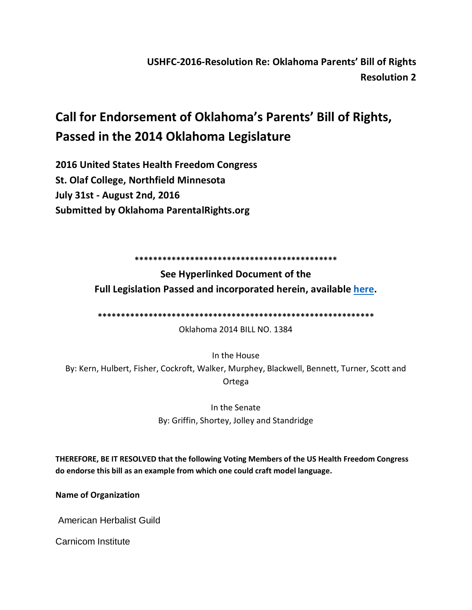**USHFC-2016-Resolution Re: Oklahoma Parents' Bill of Rights Resolution 2**

## **Call for Endorsement of Oklahoma's Parents' Bill of Rights, Passed in the 2014 Oklahoma Legislature**

**2016 United States Health Freedom Congress St. Olaf College, Northfield Minnesota July 31st - August 2nd, 2016 Submitted by Oklahoma ParentalRights.org**

**\*\*\*\*\*\*\*\*\*\*\*\*\*\*\*\*\*\*\*\*\*\*\*\*\*\*\*\*\*\*\*\*\*\*\*\*\*\*\*\*\*\*\*\***

**See Hyperlinked Document of the Full Legislation Passed and incorporated herein, available [here.](http://webserver1.lsb.state.ok.us/cf_pdf/2013-14%20ENR/hB/HB1384%20ENR.PDF)**

**\*\*\*\*\*\*\*\*\*\*\*\*\*\*\*\*\*\*\*\*\*\*\*\*\*\*\*\*\*\*\*\*\*\*\*\*\*\*\*\*\*\*\*\*\*\*\*\*\*\*\*\*\*\*\*\*\*\*\*\***

Oklahoma 2014 BILL NO. 1384

In the House By: Kern, Hulbert, Fisher, Cockroft, Walker, Murphey, Blackwell, Bennett, Turner, Scott and Ortega

> In the Senate By: Griffin, Shortey, Jolley and Standridge

**THEREFORE, BE IT RESOLVED that the following Voting Members of the US Health Freedom Congress do endorse this bill as an example from which one could craft model language.**

**Name of Organization**

American Herbalist Guild

Carnicom Institute